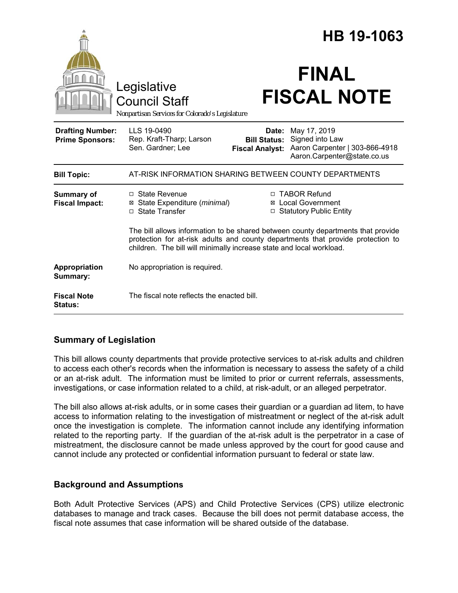|                                                   |                                                                                                                                                                                                                                             | HB 19-1063                                             |                                                                                                  |  |
|---------------------------------------------------|---------------------------------------------------------------------------------------------------------------------------------------------------------------------------------------------------------------------------------------------|--------------------------------------------------------|--------------------------------------------------------------------------------------------------|--|
|                                                   | Legislative<br><b>Council Staff</b><br>Nonpartisan Services for Colorado's Legislature                                                                                                                                                      |                                                        | <b>FINAL</b><br><b>FISCAL NOTE</b>                                                               |  |
| <b>Drafting Number:</b><br><b>Prime Sponsors:</b> | LLS 19-0490<br>Rep. Kraft-Tharp; Larson<br>Sen. Gardner; Lee                                                                                                                                                                                | Date:<br><b>Bill Status:</b><br><b>Fiscal Analyst:</b> | May 17, 2019<br>Signed into Law<br>Aaron Carpenter   303-866-4918<br>Aaron.Carpenter@state.co.us |  |
| <b>Bill Topic:</b>                                | AT-RISK INFORMATION SHARING BETWEEN COUNTY DEPARTMENTS                                                                                                                                                                                      |                                                        |                                                                                                  |  |
| <b>Summary of</b><br><b>Fiscal Impact:</b>        | □ State Revenue<br>State Expenditure (minimal)<br>⊠<br>□ State Transfer                                                                                                                                                                     |                                                        | □ TABOR Refund<br>⊠ Local Government<br>□ Statutory Public Entity                                |  |
|                                                   | The bill allows information to be shared between county departments that provide<br>protection for at-risk adults and county departments that provide protection to<br>children. The bill will minimally increase state and local workload. |                                                        |                                                                                                  |  |
| Appropriation<br>Summary:                         | No appropriation is required.                                                                                                                                                                                                               |                                                        |                                                                                                  |  |
| <b>Fiscal Note</b><br><b>Status:</b>              | The fiscal note reflects the enacted bill.                                                                                                                                                                                                  |                                                        |                                                                                                  |  |

# **Summary of Legislation**

This bill allows county departments that provide protective services to at-risk adults and children to access each other's records when the information is necessary to assess the safety of a child or an at-risk adult. The information must be limited to prior or current referrals, assessments, investigations, or case information related to a child, at risk-adult, or an alleged perpetrator.

The bill also allows at-risk adults, or in some cases their guardian or a guardian ad litem, to have access to information relating to the investigation of mistreatment or neglect of the at-risk adult once the investigation is complete. The information cannot include any identifying information related to the reporting party. If the guardian of the at-risk adult is the perpetrator in a case of mistreatment, the disclosure cannot be made unless approved by the court for good cause and cannot include any protected or confidential information pursuant to federal or state law.

# **Background and Assumptions**

Both Adult Protective Services (APS) and Child Protective Services (CPS) utilize electronic databases to manage and track cases. Because the bill does not permit database access, the fiscal note assumes that case information will be shared outside of the database.